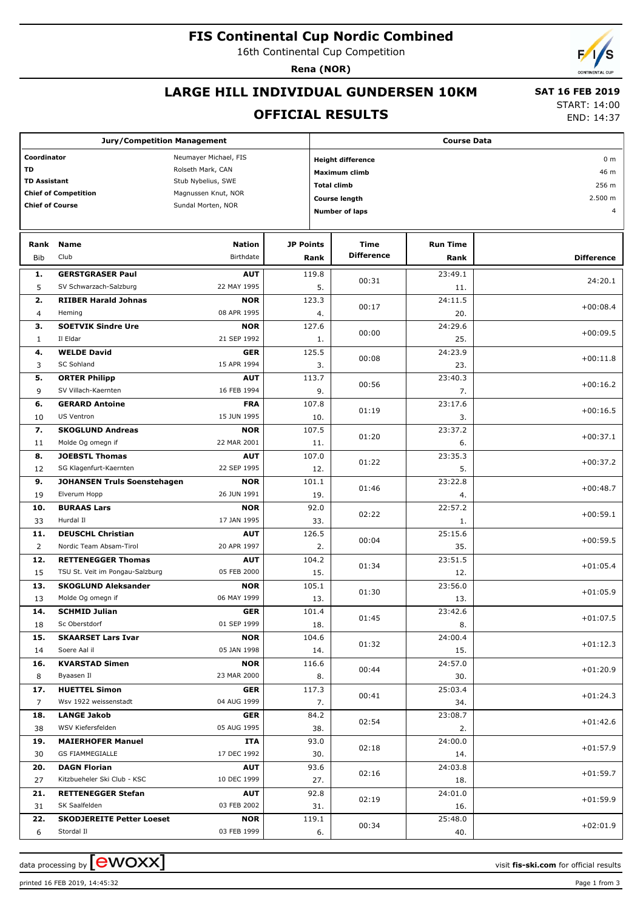## **FIS Continental Cup Nordic Combined**

16th Continental Cup Competition

**Rena (NOR)**

# **LARGE HILL INDIVIDUAL GUNDERSEN 10KM**

#### **OFFICIAL RESULTS**

 **SAT 16 FEB 2019** START: 14:00

END: 14:37

| <b>Jury/Competition Management</b>   |                                           |                            |                  |                                            | <b>Course Data</b>               |                         |                   |  |  |  |
|--------------------------------------|-------------------------------------------|----------------------------|------------------|--------------------------------------------|----------------------------------|-------------------------|-------------------|--|--|--|
| Coordinator<br>Neumayer Michael, FIS |                                           |                            |                  | <b>Height difference</b><br>0 <sub>m</sub> |                                  |                         |                   |  |  |  |
| <b>TD</b><br>Rolseth Mark, CAN       |                                           |                            |                  |                                            | Maximum climb                    |                         | 46 m              |  |  |  |
|                                      | <b>TD Assistant</b><br>Stub Nybelius, SWE |                            |                  |                                            | <b>Total climb</b>               |                         | 256 m             |  |  |  |
|                                      | <b>Chief of Competition</b>               | Magnussen Knut, NOR        |                  |                                            | Course length                    |                         | 2.500 m           |  |  |  |
| <b>Chief of Course</b>               |                                           | Sundal Morten, NOR         |                  |                                            | <b>Number of laps</b>            |                         | $\overline{4}$    |  |  |  |
|                                      |                                           |                            |                  |                                            |                                  |                         |                   |  |  |  |
|                                      |                                           |                            |                  |                                            |                                  |                         |                   |  |  |  |
| Rank<br><b>Bib</b>                   | <b>Name</b><br>Club                       | <b>Nation</b><br>Birthdate | <b>JP Points</b> | Rank                                       | <b>Time</b><br><b>Difference</b> | <b>Run Time</b><br>Rank | <b>Difference</b> |  |  |  |
|                                      | <b>GERSTGRASER Paul</b>                   |                            |                  | 119.8                                      |                                  | 23:49.1                 |                   |  |  |  |
| 1.<br>5                              | SV Schwarzach-Salzburg                    | <b>AUT</b><br>22 MAY 1995  |                  | 5.                                         | 00:31                            | 11.                     | 24:20.1           |  |  |  |
| 2.                                   | <b>RIIBER Harald Johnas</b>               | <b>NOR</b>                 |                  | 123.3                                      |                                  | 24:11.5                 |                   |  |  |  |
| 4                                    | Heming                                    | 08 APR 1995                |                  | 4.                                         | 00:17                            | 20.                     | $+00:08.4$        |  |  |  |
| з.                                   | <b>SOETVIK Sindre Ure</b>                 | <b>NOR</b>                 |                  | 127.6                                      |                                  | 24:29.6                 |                   |  |  |  |
| 1                                    | Il Eldar                                  | 21 SEP 1992                |                  | 1.                                         | 00:00                            | 25.                     | $+00:09.5$        |  |  |  |
| 4.                                   | <b>WELDE David</b>                        | <b>GER</b>                 |                  | 125.5                                      |                                  | 24:23.9                 |                   |  |  |  |
| 3                                    | <b>SC Sohland</b>                         | 15 APR 1994                |                  | 3.                                         | 00:08                            | 23.                     | $+00:11.8$        |  |  |  |
| 5.                                   | <b>ORTER Philipp</b>                      | <b>AUT</b>                 |                  | 113.7                                      | 00:56                            | 23:40.3                 | $+00:16.2$        |  |  |  |
| 9                                    | SV Villach-Kaernten                       | 16 FEB 1994                |                  | 9.                                         |                                  | 7.                      |                   |  |  |  |
| 6.                                   | <b>GERARD Antoine</b>                     | <b>FRA</b>                 |                  | 107.8                                      | 01:19                            | 23:17.6                 | $+00:16.5$        |  |  |  |
| 10                                   | <b>US Ventron</b>                         | 15 JUN 1995                |                  | 10.                                        |                                  | 3.                      |                   |  |  |  |
| 7.                                   | <b>SKOGLUND Andreas</b>                   | <b>NOR</b>                 |                  | 107.5                                      | 01:20                            | 23:37.2                 | $+00:37.1$        |  |  |  |
| 11                                   | Molde Og omegn if                         | 22 MAR 2001                |                  | 11.                                        |                                  | 6.                      |                   |  |  |  |
| 8.                                   | <b>JOEBSTL Thomas</b>                     | <b>AUT</b>                 |                  | 107.0                                      | 01:22                            | 23:35.3                 | $+00:37.2$        |  |  |  |
| 12                                   | SG Klagenfurt-Kaernten                    | 22 SEP 1995                |                  | 12.                                        |                                  | 5.                      |                   |  |  |  |
| 9.                                   | <b>JOHANSEN Truls Soenstehagen</b>        | <b>NOR</b>                 |                  | 101.1                                      | 01:46                            | 23:22.8                 | $+00:48.7$        |  |  |  |
| 19                                   | Elverum Hopp<br><b>BURAAS Lars</b>        | 26 JUN 1991                |                  | 19.                                        |                                  | 4.<br>22:57.2           |                   |  |  |  |
| 10.<br>33                            | Hurdal II                                 | <b>NOR</b><br>17 JAN 1995  |                  | 92.0<br>33.                                | 02:22                            | 1.                      | $+00:59.1$        |  |  |  |
| 11.                                  | <b>DEUSCHL Christian</b>                  | <b>AUT</b>                 |                  | 126.5                                      |                                  | 25:15.6                 |                   |  |  |  |
| 2                                    | Nordic Team Absam-Tirol                   | 20 APR 1997                |                  | 2.                                         | 00:04                            | 35.                     | $+00:59.5$        |  |  |  |
| 12.                                  | <b>RETTENEGGER Thomas</b>                 | <b>AUT</b>                 |                  | 104.2                                      |                                  | 23:51.5                 |                   |  |  |  |
| 15                                   | TSU St. Veit im Pongau-Salzburg           | 05 FEB 2000                |                  | 15.                                        | 01:34                            | 12.                     | $+01:05.4$        |  |  |  |
| 13.                                  | <b>SKOGLUND Aleksander</b>                | <b>NOR</b>                 |                  | 105.1                                      |                                  | 23:56.0                 |                   |  |  |  |
| 13                                   | Molde Og omegn if                         | 06 MAY 1999                |                  | 13.                                        | 01:30                            | 13.                     | $+01:05.9$        |  |  |  |
| 14.                                  | <b>SCHMID Julian</b>                      | <b>GER</b>                 |                  | 101.4                                      | 01:45                            | 23:42.6                 | $+01:07.5$        |  |  |  |
| 18                                   | Sc Oberstdorf                             | 01 SEP 1999                |                  | 18.                                        |                                  | 8.                      |                   |  |  |  |
| 15.                                  | <b>SKAARSET Lars Ivar</b>                 | <b>NOR</b>                 |                  | 104.6                                      | 01:32                            | 24:00.4                 | $+01:12.3$        |  |  |  |
| 14                                   | Soere Aal il                              | 05 JAN 1998                |                  | 14.                                        |                                  | 15.                     |                   |  |  |  |
| 16.                                  | <b>KVARSTAD Simen</b>                     | <b>NOR</b>                 |                  | 116.6                                      | 00:44                            | 24:57.0                 | $+01:20.9$        |  |  |  |
| 8                                    | Byaasen Il                                | 23 MAR 2000                |                  | 8.                                         |                                  | 30.                     |                   |  |  |  |
| 17.                                  | <b>HUETTEL Simon</b>                      | <b>GER</b>                 |                  | 117.3                                      | 00:41                            | 25:03.4                 | $+01:24.3$        |  |  |  |
| $\overline{7}$                       | Wsv 1922 weissenstadt                     | 04 AUG 1999                |                  | 7.                                         |                                  | 34.                     |                   |  |  |  |
| 18.                                  | <b>LANGE Jakob</b><br>WSV Kiefersfelden   | <b>GER</b><br>05 AUG 1995  |                  | 84.2                                       | 02:54                            | 23:08.7                 | $+01:42.6$        |  |  |  |
| 38<br>19.                            | <b>MAIERHOFER Manuel</b>                  | ITA                        |                  | 38.<br>93.0                                |                                  | 2.<br>24:00.0           |                   |  |  |  |
| 30                                   | <b>GS FIAMMEGIALLE</b>                    | 17 DEC 1992                |                  | 30.                                        | 02:18                            | 14.                     | $+01:57.9$        |  |  |  |
| 20.                                  | <b>DAGN Florian</b>                       | <b>AUT</b>                 |                  | 93.6                                       |                                  | 24:03.8                 |                   |  |  |  |
| 27                                   | Kitzbueheler Ski Club - KSC               | 10 DEC 1999                |                  | 27.                                        | 02:16                            | 18.                     | $+01:59.7$        |  |  |  |
| 21.                                  | <b>RETTENEGGER Stefan</b>                 | <b>AUT</b>                 |                  | 92.8                                       |                                  | 24:01.0                 |                   |  |  |  |
| 31                                   | SK Saalfelden                             | 03 FEB 2002                |                  | 31.                                        | 02:19                            | 16.                     | $+01:59.9$        |  |  |  |
| 22.                                  | <b>SKODJEREITE Petter Loeset</b>          | <b>NOR</b>                 |                  | 119.1                                      |                                  | 25:48.0                 |                   |  |  |  |
| 6                                    | Stordal II                                | 03 FEB 1999                |                  | 6.                                         | 00:34                            | 40.                     | $+02:01.9$        |  |  |  |

data processing by **CWOXX** and  $\overline{C}$  and  $\overline{C}$  and  $\overline{C}$  and  $\overline{C}$  and  $\overline{C}$  and  $\overline{C}$  and  $\overline{C}$  and  $\overline{C}$  and  $\overline{C}$  and  $\overline{C}$  and  $\overline{C}$  and  $\overline{C}$  and  $\overline{C}$  and  $\overline{C}$  and  $\overline{C}$ 

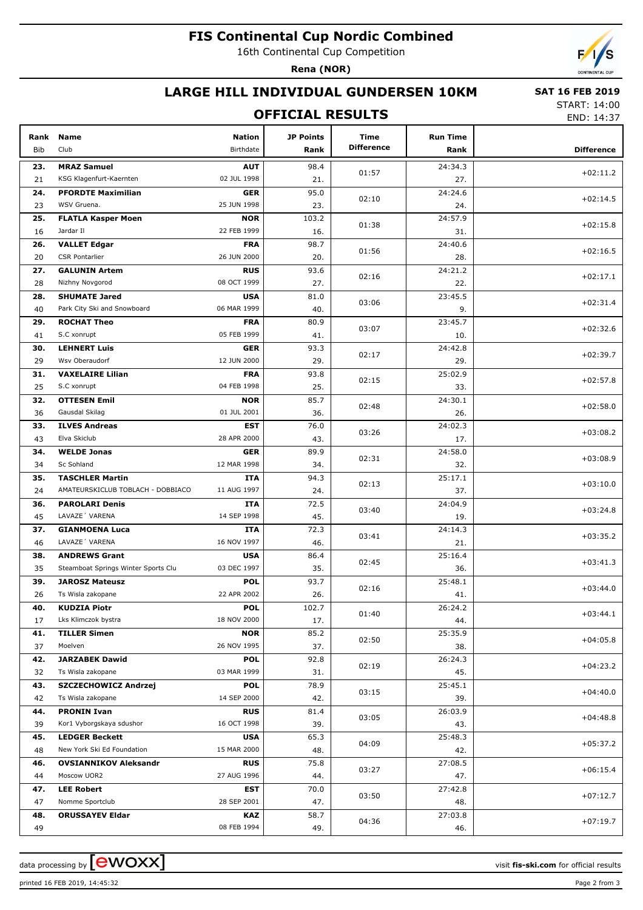## **FIS Continental Cup Nordic Combined**

16th Continental Cup Competition

**Rena (NOR)**



## **LARGE HILL INDIVIDUAL GUNDERSEN 10KM**

## **OFFICIAL RESULTS**

 **SAT 16 FEB 2019** START: 14:00

END: 14:37

| Rank      | Name                                             | <b>Nation</b>             | <b>JP Points</b> | Time              | <b>Run Time</b> |                   |
|-----------|--------------------------------------------------|---------------------------|------------------|-------------------|-----------------|-------------------|
| Bib       | Club                                             | Birthdate                 | Rank             | <b>Difference</b> | Rank            | <b>Difference</b> |
| 23.       | <b>MRAZ Samuel</b>                               | <b>AUT</b>                | 98.4             |                   | 24:34.3         |                   |
| 21        | KSG Klagenfurt-Kaernten                          | 02 JUL 1998               | 21.              | 01:57             | 27.             | $+02:11.2$        |
| 24.       | <b>PFORDTE Maximilian</b>                        | <b>GER</b>                | 95.0             |                   | 24:24.6         |                   |
| 23        | WSV Gruena.                                      | 25 JUN 1998               | 23.              | 02:10             | 24.             | $+02:14.5$        |
| 25.       | <b>FLATLA Kasper Moen</b>                        | <b>NOR</b>                | 103.2            |                   | 24:57.9         |                   |
| 16        | Jardar II                                        | 22 FEB 1999               | 16.              | 01:38             | 31.             | $+02:15.8$        |
| 26.       | <b>VALLET Edgar</b>                              | <b>FRA</b>                | 98.7             |                   | 24:40.6         |                   |
| 20        | <b>CSR Pontarlier</b>                            | 26 JUN 2000               | 20.              | 01:56             | 28.             | $+02:16.5$        |
| 27.       | <b>GALUNIN Artem</b>                             | <b>RUS</b>                | 93.6             |                   | 24:21.2         |                   |
| 28        | Nizhny Novgorod                                  | 08 OCT 1999               | 27.              | 02:16             | 22.             | $+02:17.1$        |
| 28.       | <b>SHUMATE Jared</b>                             | <b>USA</b>                | 81.0             |                   | 23:45.5         |                   |
| 40        | Park City Ski and Snowboard                      | 06 MAR 1999               | 40.              | 03:06             | 9.              | $+02:31.4$        |
| 29.       | <b>ROCHAT Theo</b>                               | <b>FRA</b>                | 80.9             |                   | 23:45.7         |                   |
| 41        | S.C xonrupt                                      | 05 FEB 1999               | 41.              | 03:07             | 10.             | $+02:32.6$        |
| 30.       | <b>LEHNERT Luis</b>                              | <b>GER</b>                | 93.3             |                   | 24:42.8         |                   |
| 29        | Wsv Oberaudorf                                   | 12 JUN 2000               | 29.              | 02:17             | 29.             | $+02:39.7$        |
| 31.       | <b>VAXELAIRE Lilian</b>                          | <b>FRA</b>                | 93.8             |                   | 25:02.9         |                   |
| 25        | S.C xonrupt                                      | 04 FEB 1998               | 25.              | 02:15             | 33.             | $+02:57.8$        |
| 32.       | <b>OTTESEN Emil</b>                              | <b>NOR</b>                | 85.7             |                   | 24:30.1         |                   |
| 36        | Gausdal Skilag                                   | 01 JUL 2001               | 36.              | 02:48             | 26.             | $+02:58.0$        |
| 33.       | <b>ILVES Andreas</b>                             | <b>EST</b>                | 76.0             |                   | 24:02.3         |                   |
| 43        | Elva Skiclub                                     | 28 APR 2000               | 43.              | 03:26             | 17.             | $+03:08.2$        |
| 34.       | <b>WELDE Jonas</b>                               | <b>GER</b>                | 89.9             |                   | 24:58.0         |                   |
| 34        | Sc Sohland                                       | 12 MAR 1998               | 34.              | 02:31             | 32.             | $+03:08.9$        |
| 35.       | <b>TASCHLER Martin</b>                           | ITA                       | 94.3             |                   | 25:17.1         |                   |
| 24        | AMATEURSKICLUB TOBLACH - DOBBIACO                | 11 AUG 1997               | 24.              | 02:13             | 37.             | $+03:10.0$        |
| 36.       | <b>PAROLARI Denis</b>                            | ITA                       | 72.5             |                   | 24:04.9         |                   |
| 45        | LAVAZE 'VARENA                                   | 14 SEP 1998               | 45.              | 03:40             | 19.             | $+03:24.8$        |
| 37.       | <b>GIANMOENA Luca</b>                            | ITA                       | 72.3             |                   | 24:14.3         |                   |
| 46        | LAVAZE 'VARENA                                   | 16 NOV 1997               | 46.              | 03:41             | 21.             | $+03:35.2$        |
| 38.       | <b>ANDREWS Grant</b>                             | <b>USA</b>                | 86.4             |                   | 25:16.4         |                   |
| 35        | Steamboat Springs Winter Sports Clu              | 03 DEC 1997               | 35.              | 02:45             | 36.             | $+03:41.3$        |
| 39.       | <b>JAROSZ Mateusz</b>                            | <b>POL</b>                | 93.7             |                   | 25:48.1         |                   |
| 26        | Ts Wisla zakopane                                | 22 APR 2002               | 26.              | 02:16             | 41.             | $+03:44.0$        |
| 40.       | <b>KUDZIA Piotr</b>                              |                           | 102.7            |                   | 26:24.2         |                   |
| 17        | Lks Klimczok bystra                              | POL<br>18 NOV 2000        | 17.              | 01:40             | 44.             | $+03:44.1$        |
| 41.       | <b>TILLER Simen</b>                              | <b>NOR</b>                | 85.2             |                   | 25:35.9         |                   |
| 37        | Moelven                                          | 26 NOV 1995               | 37.              | 02:50             |                 | $+04:05.8$        |
|           | <b>JARZABEK Dawid</b>                            | <b>POL</b>                | 92.8             |                   | 38.<br>26:24.3  |                   |
| 42.<br>32 | Ts Wisla zakopane                                | 03 MAR 1999               | 31.              | 02:19             | 45.             | $+04:23.2$        |
|           |                                                  |                           |                  |                   |                 |                   |
| 43.       | <b>SZCZECHOWICZ Andrzej</b><br>Ts Wisla zakopane | <b>POL</b><br>14 SEP 2000 | 78.9             | 03:15             | 25:45.1         | $+04:40.0$        |
| 42        |                                                  |                           | 42.              |                   | 39.             |                   |
| 44.       | <b>PRONIN Ivan</b>                               | <b>RUS</b>                | 81.4             | 03:05             | 26:03.9         | $+04:48.8$        |
| 39        | Kor1 Vyborgskaya sdushor                         | 16 OCT 1998               | 39.              |                   | 43.             |                   |
| 45.       | <b>LEDGER Beckett</b>                            | <b>USA</b>                | 65.3             | 04:09             | 25:48.3         | +05:37.2          |
| 48        | New York Ski Ed Foundation                       | 15 MAR 2000               | 48.              |                   | 42.             |                   |
| 46.       | <b>OVSIANNIKOV Aleksandr</b>                     | <b>RUS</b>                | 75.8             | 03:27             | 27:08.5         | $+06:15.4$        |
| 44        | Moscow UOR2                                      | 27 AUG 1996               | 44.              |                   | 47.             |                   |
| 47.       | <b>LEE Robert</b>                                | EST                       | 70.0             | 03:50             | 27:42.8         | $+07:12.7$        |
| 47        | Nomme Sportclub                                  | 28 SEP 2001               | 47.              |                   | 48.             |                   |
| 48.       | <b>ORUSSAYEV Eldar</b>                           | <b>KAZ</b>                | 58.7             | 04:36             | 27:03.8         | $+07:19.7$        |
| 49        |                                                  | 08 FEB 1994               | 49.              |                   | 46.             |                   |

printed 16 FEB 2019, 14:45:32 Page 2 from 3

data processing by **CWOXX** and  $\overline{C}$  and  $\overline{C}$  and  $\overline{C}$  and  $\overline{C}$  and  $\overline{C}$  and  $\overline{C}$  and  $\overline{C}$  and  $\overline{C}$  and  $\overline{C}$  and  $\overline{C}$  and  $\overline{C}$  and  $\overline{C}$  and  $\overline{C}$  and  $\overline{C}$  and  $\overline{C}$